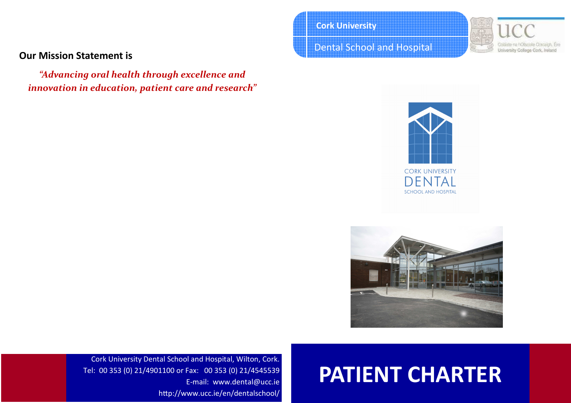# Our Mission Statement is

"Advancing oral health through excellence and innovation in education, patient care and research" Cork University

Dental School and Hospital







# PATIENT CHARTER

Cork University Dental School and Hospital, Wilton, Cork. Tel: 00 353 (0) 21/4901100 or Fax: 00 353 (0) 21/4545539 E-mail: www.dental@ucc.ie http://www.ucc.ie/en/dentalschool/